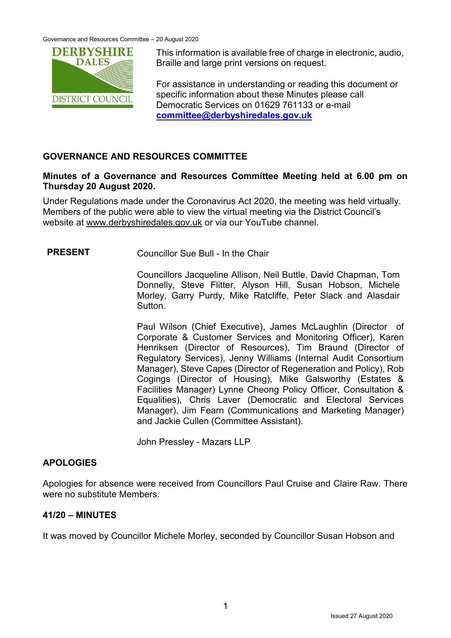Governance and Resources Committee – 20 August 2020



This information is available free of charge in electronic, audio, Braille and large print versions on request.

For assistance in understanding or reading this document or specific information about these Minutes please call Democratic Services on 01629 761133 or e-mail **[committee@derbyshiredales.gov.uk](mailto:committee@derbyshiredales.gov.uk)**

## **GOVERNANCE AND RESOURCES COMMITTEE**

### **Minutes of a Governance and Resources Committee Meeting held at 6.00 pm on Thursday 20 August 2020.**

Under Regulations made under the Coronavirus Act 2020, the meeting was held virtually. Members of the public were able to view the virtual meeting via the District Council's website at [www.derbyshiredales.gov.uk](http://www.derbyshiredales.gov.uk/) or via our YouTube channel.

**PRESENT** Councillor Sue Bull - In the Chair

Councillors Jacqueline Allison, Neil Buttle, David Chapman, Tom Donnelly, Steve Flitter, Alyson Hill, Susan Hobson, Michele Morley, Garry Purdy, Mike Ratcliffe, Peter Slack and Alasdair Sutton.

Paul Wilson (Chief Executive), James McLaughlin (Director of Corporate & Customer Services and Monitoring Officer), Karen Henriksen (Director of Resources), Tim Braund (Director of Regulatory Services), Jenny Williams (Internal Audit Consortium Manager), Steve Capes (Director of Regeneration and Policy), Rob Cogings (Director of Housing), Mike Galsworthy (Estates & Facilities Manager) Lynne Cheong Policy Officer, Consultation & Equalities), Chris Laver (Democratic and Electoral Services Manager), Jim Fearn (Communications and Marketing Manager) and Jackie Cullen (Committee Assistant).

John Pressley - Mazars LLP

# **APOLOGIES**

Apologies for absence were received from Councillors Paul Cruise and Claire Raw. There were no substitute Members.

## **41/20 – MINUTES**

It was moved by Councillor Michele Morley, seconded by Councillor Susan Hobson and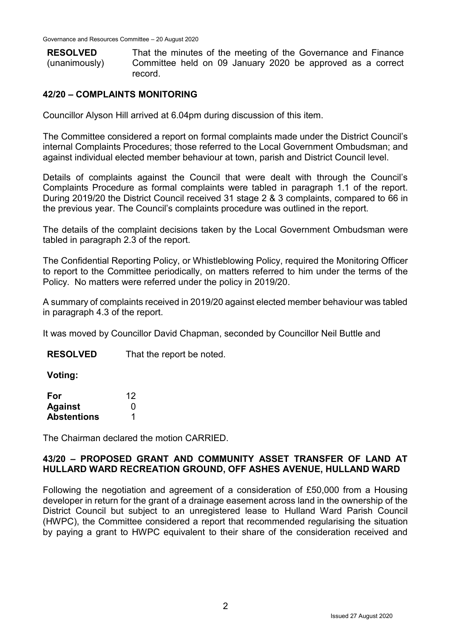| <b>RESOLVED</b> | That the minutes of the meeting of the Governance and Finance |
|-----------------|---------------------------------------------------------------|
| (unanimously)   | Committee held on 09 January 2020 be approved as a correct    |
|                 | record.                                                       |

### **42/20 – COMPLAINTS MONITORING**

Councillor Alyson Hill arrived at 6.04pm during discussion of this item.

The Committee considered a report on formal complaints made under the District Council's internal Complaints Procedures; those referred to the Local Government Ombudsman; and against individual elected member behaviour at town, parish and District Council level.

Details of complaints against the Council that were dealt with through the Council's Complaints Procedure as formal complaints were tabled in paragraph 1.1 of the report. During 2019/20 the District Council received 31 stage 2 & 3 complaints, compared to 66 in the previous year. The Council's complaints procedure was outlined in the report.

The details of the complaint decisions taken by the Local Government Ombudsman were tabled in paragraph 2.3 of the report.

The Confidential Reporting Policy, or Whistleblowing Policy, required the Monitoring Officer to report to the Committee periodically, on matters referred to him under the terms of the Policy. No matters were referred under the policy in 2019/20.

A summary of complaints received in 2019/20 against elected member behaviour was tabled in paragraph 4.3 of the report.

It was moved by Councillor David Chapman, seconded by Councillor Neil Buttle and

**RESOLVED** That the report be noted.

**Voting:**

| For                | 12 |
|--------------------|----|
| <b>Against</b>     | O  |
| <b>Abstentions</b> |    |

The Chairman declared the motion CARRIED.

#### **43/20 – PROPOSED GRANT AND COMMUNITY ASSET TRANSFER OF LAND AT HULLARD WARD RECREATION GROUND, OFF ASHES AVENUE, HULLAND WARD**

Following the negotiation and agreement of a consideration of £50,000 from a Housing developer in return for the grant of a drainage easement across land in the ownership of the District Council but subject to an unregistered lease to Hulland Ward Parish Council (HWPC), the Committee considered a report that recommended regularising the situation by paying a grant to HWPC equivalent to their share of the consideration received and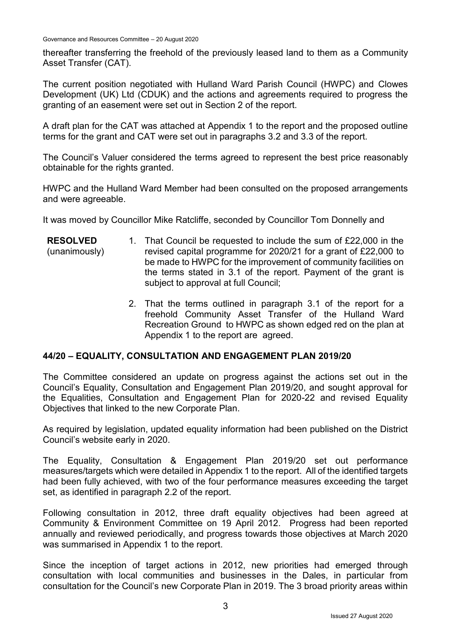thereafter transferring the freehold of the previously leased land to them as a Community Asset Transfer (CAT).

The current position negotiated with Hulland Ward Parish Council (HWPC) and Clowes Development (UK) Ltd (CDUK) and the actions and agreements required to progress the granting of an easement were set out in Section 2 of the report.

A draft plan for the CAT was attached at Appendix 1 to the report and the proposed outline terms for the grant and CAT were set out in paragraphs 3.2 and 3.3 of the report.

The Council's Valuer considered the terms agreed to represent the best price reasonably obtainable for the rights granted.

HWPC and the Hulland Ward Member had been consulted on the proposed arrangements and were agreeable.

It was moved by Councillor Mike Ratcliffe, seconded by Councillor Tom Donnelly and

| <b>RESOLVED</b> | 1. That Council be requested to include the sum of £22,000 in the |
|-----------------|-------------------------------------------------------------------|
| (unanimously)   | revised capital programme for 2020/21 for a grant of £22,000 to   |
|                 | be made to HWPC for the improvement of community facilities on    |
|                 | the terms stated in 3.1 of the report. Payment of the grant is    |
|                 | subject to approval at full Council;                              |

2. That the terms outlined in paragraph 3.1 of the report for a freehold Community Asset Transfer of the Hulland Ward Recreation Ground to HWPC as shown edged red on the plan at Appendix 1 to the report are agreed.

#### **44/20 – EQUALITY, CONSULTATION AND ENGAGEMENT PLAN 2019/20**

The Committee considered an update on progress against the actions set out in the Council's Equality, Consultation and Engagement Plan 2019/20, and sought approval for the Equalities, Consultation and Engagement Plan for 2020-22 and revised Equality Objectives that linked to the new Corporate Plan.

As required by legislation, updated equality information had been published on the District Council's website early in 2020.

The Equality, Consultation & Engagement Plan 2019/20 set out performance measures/targets which were detailed in Appendix 1 to the report. All of the identified targets had been fully achieved, with two of the four performance measures exceeding the target set, as identified in paragraph 2.2 of the report.

Following consultation in 2012, three draft equality objectives had been agreed at Community & Environment Committee on 19 April 2012. Progress had been reported annually and reviewed periodically, and progress towards those objectives at March 2020 was summarised in Appendix 1 to the report.

Since the inception of target actions in 2012, new priorities had emerged through consultation with local communities and businesses in the Dales, in particular from consultation for the Council's new Corporate Plan in 2019. The 3 broad priority areas within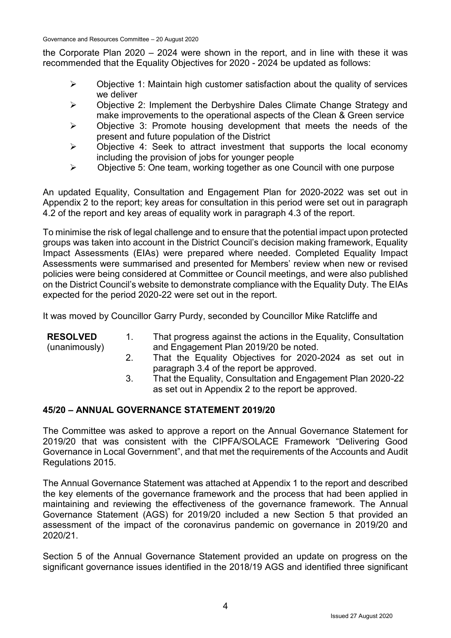the Corporate Plan 2020 – 2024 were shown in the report, and in line with these it was recommended that the Equality Objectives for 2020 - 2024 be updated as follows:

- $\triangleright$  Objective 1: Maintain high customer satisfaction about the quality of services we deliver
- $\triangleright$  Objective 2: Implement the Derbyshire Dales Climate Change Strategy and make improvements to the operational aspects of the Clean & Green service
- $\triangleright$  Objective 3: Promote housing development that meets the needs of the present and future population of the District
- $\triangleright$  Objective 4: Seek to attract investment that supports the local economy including the provision of jobs for younger people
- $\triangleright$  Objective 5: One team, working together as one Council with one purpose

An updated Equality, Consultation and Engagement Plan for 2020-2022 was set out in Appendix 2 to the report; key areas for consultation in this period were set out in paragraph 4.2 of the report and key areas of equality work in paragraph 4.3 of the report.

To minimise the risk of legal challenge and to ensure that the potential impact upon protected groups was taken into account in the District Council's decision making framework, Equality Impact Assessments (EIAs) were prepared where needed. Completed Equality Impact Assessments were summarised and presented for Members' review when new or revised policies were being considered at Committee or Council meetings, and were also published on the District Council's website to demonstrate compliance with the Equality Duty. The EIAs expected for the period 2020-22 were set out in the report.

It was moved by Councillor Garry Purdy, seconded by Councillor Mike Ratcliffe and

| <b>RESOLVED</b> | $\mathbf{1}$ | That progress against the actions in the Equality, Consultation |
|-----------------|--------------|-----------------------------------------------------------------|
| (unanimously)   |              | and Engagement Plan 2019/20 be noted.                           |
|                 |              | That the Equality Objectives for 2020-2024 as set out in        |
|                 |              | paragraph 3.4 of the report be approved.                        |
|                 |              | That the Equality, Consultation and Engagement Plan 2020-22     |

## as set out in Appendix 2 to the report be approved.

#### **45/20 – ANNUAL GOVERNANCE STATEMENT 2019/20**

The Committee was asked to approve a report on the Annual Governance Statement for 2019/20 that was consistent with the CIPFA/SOLACE Framework "Delivering Good Governance in Local Government", and that met the requirements of the Accounts and Audit Regulations 2015.

The Annual Governance Statement was attached at Appendix 1 to the report and described the key elements of the governance framework and the process that had been applied in maintaining and reviewing the effectiveness of the governance framework. The Annual Governance Statement (AGS) for 2019/20 included a new Section 5 that provided an assessment of the impact of the coronavirus pandemic on governance in 2019/20 and 2020/21.

Section 5 of the Annual Governance Statement provided an update on progress on the significant governance issues identified in the 2018/19 AGS and identified three significant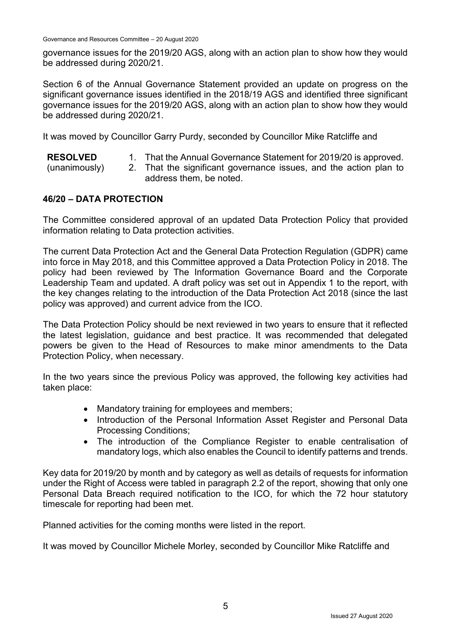governance issues for the 2019/20 AGS, along with an action plan to show how they would be addressed during 2020/21.

Section 6 of the Annual Governance Statement provided an update on progress on the significant governance issues identified in the 2018/19 AGS and identified three significant governance issues for the 2019/20 AGS, along with an action plan to show how they would be addressed during 2020/21.

It was moved by Councillor Garry Purdy, seconded by Councillor Mike Ratcliffe and

- **RESOLVED** 1. That the Annual Governance Statement for 2019/20 is approved.
- (unanimously) 2. That the significant governance issues, and the action plan to address them, be noted.

## **46/20 – DATA PROTECTION**

The Committee considered approval of an updated Data Protection Policy that provided information relating to Data protection activities.

The current Data Protection Act and the General Data Protection Regulation (GDPR) came into force in May 2018, and this Committee approved a Data Protection Policy in 2018. The policy had been reviewed by The Information Governance Board and the Corporate Leadership Team and updated. A draft policy was set out in Appendix 1 to the report, with the key changes relating to the introduction of the Data Protection Act 2018 (since the last policy was approved) and current advice from the ICO.

The Data Protection Policy should be next reviewed in two years to ensure that it reflected the latest legislation, guidance and best practice. It was recommended that delegated powers be given to the Head of Resources to make minor amendments to the Data Protection Policy, when necessary.

In the two years since the previous Policy was approved, the following key activities had taken place:

- Mandatory training for employees and members;
- Introduction of the Personal Information Asset Register and Personal Data Processing Conditions;
- The introduction of the Compliance Register to enable centralisation of mandatory logs, which also enables the Council to identify patterns and trends.

Key data for 2019/20 by month and by category as well as details of requests for information under the Right of Access were tabled in paragraph 2.2 of the report, showing that only one Personal Data Breach required notification to the ICO, for which the 72 hour statutory timescale for reporting had been met.

Planned activities for the coming months were listed in the report.

It was moved by Councillor Michele Morley, seconded by Councillor Mike Ratcliffe and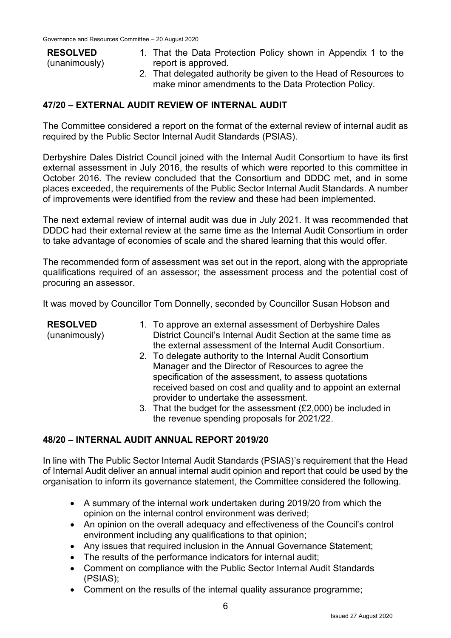#### **RESOLVED**

- (unanimously)
- 1. That the Data Protection Policy shown in Appendix 1 to the report is approved.
- 2. That delegated authority be given to the Head of Resources to make minor amendments to the Data Protection Policy.

## **47/20 – EXTERNAL AUDIT REVIEW OF INTERNAL AUDIT**

The Committee considered a report on the format of the external review of internal audit as required by the Public Sector Internal Audit Standards (PSIAS).

Derbyshire Dales District Council joined with the Internal Audit Consortium to have its first external assessment in July 2016, the results of which were reported to this committee in October 2016. The review concluded that the Consortium and DDDC met, and in some places exceeded, the requirements of the Public Sector Internal Audit Standards. A number of improvements were identified from the review and these had been implemented.

The next external review of internal audit was due in July 2021. It was recommended that DDDC had their external review at the same time as the Internal Audit Consortium in order to take advantage of economies of scale and the shared learning that this would offer.

The recommended form of assessment was set out in the report, along with the appropriate qualifications required of an assessor; the assessment process and the potential cost of procuring an assessor.

It was moved by Councillor Tom Donnelly, seconded by Councillor Susan Hobson and

| <b>RESOLVED</b><br>(unanimously) | 1. To approve an external assessment of Derbyshire Dales<br>District Council's Internal Audit Section at the same time as<br>the external assessment of the Internal Audit Consortium.                                                                                             |
|----------------------------------|------------------------------------------------------------------------------------------------------------------------------------------------------------------------------------------------------------------------------------------------------------------------------------|
|                                  | 2. To delegate authority to the Internal Audit Consortium<br>Manager and the Director of Resources to agree the<br>specification of the assessment, to assess quotations<br>received based on cost and quality and to appoint an external<br>provider to undertake the assessment. |
|                                  | 3. That the budget for the assessment (£2,000) be included in<br>the revenue spending proposals for 2021/22.                                                                                                                                                                       |

## **48/20 – INTERNAL AUDIT ANNUAL REPORT 2019/20**

In line with The Public Sector Internal Audit Standards (PSIAS)'s requirement that the Head of Internal Audit deliver an annual internal audit opinion and report that could be used by the organisation to inform its governance statement, the Committee considered the following.

- A summary of the internal work undertaken during 2019/20 from which the opinion on the internal control environment was derived;
- An opinion on the overall adequacy and effectiveness of the Council's control environment including any qualifications to that opinion;
- Any issues that required inclusion in the Annual Governance Statement;
- The results of the performance indicators for internal audit;
- Comment on compliance with the Public Sector Internal Audit Standards (PSIAS);
- Comment on the results of the internal quality assurance programme;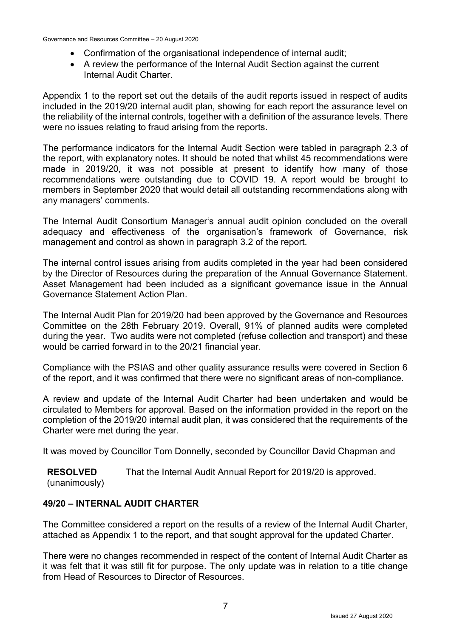- Confirmation of the organisational independence of internal audit;
- A review the performance of the Internal Audit Section against the current Internal Audit Charter.

Appendix 1 to the report set out the details of the audit reports issued in respect of audits included in the 2019/20 internal audit plan, showing for each report the assurance level on the reliability of the internal controls, together with a definition of the assurance levels. There were no issues relating to fraud arising from the reports.

The performance indicators for the Internal Audit Section were tabled in paragraph 2.3 of the report, with explanatory notes. It should be noted that whilst 45 recommendations were made in 2019/20, it was not possible at present to identify how many of those recommendations were outstanding due to COVID 19. A report would be brought to members in September 2020 that would detail all outstanding recommendations along with any managers' comments.

The Internal Audit Consortium Manager's annual audit opinion concluded on the overall adequacy and effectiveness of the organisation's framework of Governance, risk management and control as shown in paragraph 3.2 of the report.

The internal control issues arising from audits completed in the year had been considered by the Director of Resources during the preparation of the Annual Governance Statement. Asset Management had been included as a significant governance issue in the Annual Governance Statement Action Plan.

The Internal Audit Plan for 2019/20 had been approved by the Governance and Resources Committee on the 28th February 2019. Overall, 91% of planned audits were completed during the year. Two audits were not completed (refuse collection and transport) and these would be carried forward in to the 20/21 financial year.

Compliance with the PSIAS and other quality assurance results were covered in Section 6 of the report, and it was confirmed that there were no significant areas of non-compliance.

A review and update of the Internal Audit Charter had been undertaken and would be circulated to Members for approval. Based on the information provided in the report on the completion of the 2019/20 internal audit plan, it was considered that the requirements of the Charter were met during the year.

It was moved by Councillor Tom Donnelly, seconded by Councillor David Chapman and

**RESOLVED** (unanimously) That the Internal Audit Annual Report for 2019/20 is approved.

## **49/20 – INTERNAL AUDIT CHARTER**

The Committee considered a report on the results of a review of the Internal Audit Charter, attached as Appendix 1 to the report, and that sought approval for the updated Charter.

There were no changes recommended in respect of the content of Internal Audit Charter as it was felt that it was still fit for purpose. The only update was in relation to a title change from Head of Resources to Director of Resources.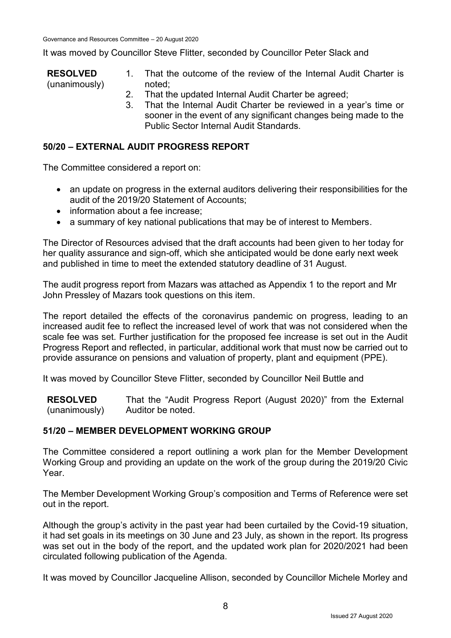It was moved by Councillor Steve Flitter, seconded by Councillor Peter Slack and

- **RESOLVED** (unanimously) 1. That the outcome of the review of the Internal Audit Charter is noted;
	- 2. That the updated Internal Audit Charter be agreed;
	- 3. That the Internal Audit Charter be reviewed in a year's time or sooner in the event of any significant changes being made to the Public Sector Internal Audit Standards.

### **50/20 – EXTERNAL AUDIT PROGRESS REPORT**

The Committee considered a report on:

- an update on progress in the external auditors delivering their responsibilities for the audit of the 2019/20 Statement of Accounts;
- information about a fee increase:
- a summary of key national publications that may be of interest to Members.

The Director of Resources advised that the draft accounts had been given to her today for her quality assurance and sign-off, which she anticipated would be done early next week and published in time to meet the extended statutory deadline of 31 August.

The audit progress report from Mazars was attached as Appendix 1 to the report and Mr John Pressley of Mazars took questions on this item.

The report detailed the effects of the coronavirus pandemic on progress, leading to an increased audit fee to reflect the increased level of work that was not considered when the scale fee was set. Further justification for the proposed fee increase is set out in the Audit Progress Report and reflected, in particular, additional work that must now be carried out to provide assurance on pensions and valuation of property, plant and equipment (PPE).

It was moved by Councillor Steve Flitter, seconded by Councillor Neil Buttle and

**RESOLVED** (unanimously) That the "Audit Progress Report (August 2020)" from the External Auditor be noted.

#### **51/20 – MEMBER DEVELOPMENT WORKING GROUP**

The Committee considered a report outlining a work plan for the Member Development Working Group and providing an update on the work of the group during the 2019/20 Civic Year.

The Member Development Working Group's composition and Terms of Reference were set out in the report.

Although the group's activity in the past year had been curtailed by the Covid-19 situation, it had set goals in its meetings on 30 June and 23 July, as shown in the report. Its progress was set out in the body of the report, and the updated work plan for 2020/2021 had been circulated following publication of the Agenda.

It was moved by Councillor Jacqueline Allison, seconded by Councillor Michele Morley and